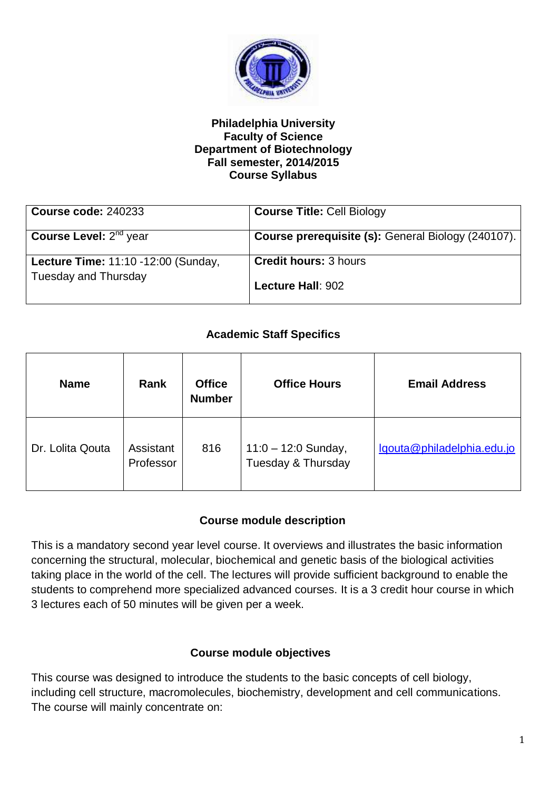

#### **Philadelphia University Faculty of Science Department of Biotechnology Fall semester, 2014/2015 Course Syllabus**

| <b>Course code: 240233</b>          | <b>Course Title: Cell Biology</b>                         |
|-------------------------------------|-----------------------------------------------------------|
|                                     |                                                           |
| <b>Course Level:</b> $2^{nd}$ year  | <b>Course prerequisite (s): General Biology (240107).</b> |
|                                     |                                                           |
| Lecture Time: 11:10 -12:00 (Sunday, | <b>Credit hours: 3 hours</b>                              |
| Tuesday and Thursday                | Lecture Hall: 902                                         |

# **Academic Staff Specifics**

| <b>Name</b>      | <b>Rank</b>            | <b>Office</b><br><b>Number</b> | <b>Office Hours</b>                         | <b>Email Address</b>       |
|------------------|------------------------|--------------------------------|---------------------------------------------|----------------------------|
| Dr. Lolita Qouta | Assistant<br>Professor | 816                            | $11:0 - 12:0$ Sunday,<br>Tuesday & Thursday | lqouta@philadelphia.edu.jo |

### **Course module description**

This is a mandatory second year level course. It overviews and illustrates the basic information concerning the structural, molecular, biochemical and genetic basis of the biological activities taking place in the world of the cell. The lectures will provide sufficient background to enable the students to comprehend more specialized advanced courses. It is a 3 credit hour course in which 3 lectures each of 50 minutes will be given per a week.

### **Course module objectives**

This course was designed to introduce the students to the basic concepts of cell biology, including cell structure, macromolecules, biochemistry, development and cell communications. The course will mainly concentrate on: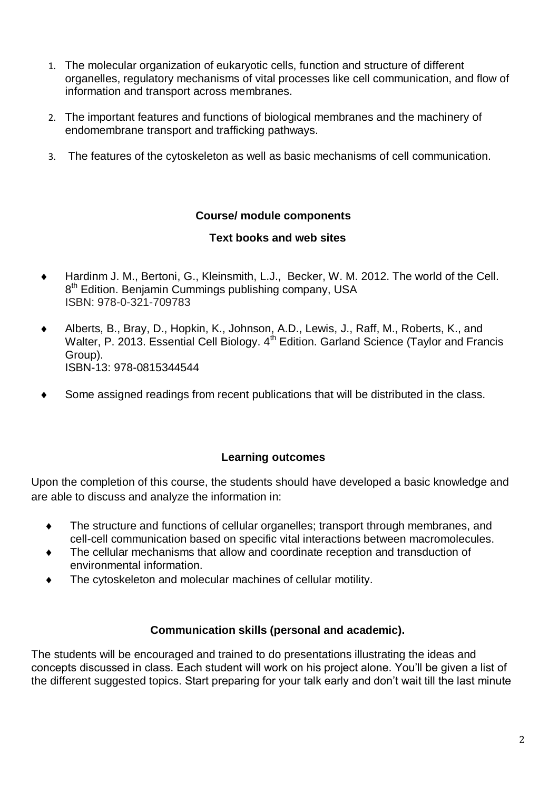- 1. The molecular organization of eukaryotic cells, function and structure of different organelles, regulatory mechanisms of vital processes like cell communication, and flow of information and transport across membranes.
- 2. The important features and functions of biological membranes and the machinery of endomembrane transport and trafficking pathways.
- 3. The features of the cytoskeleton as well as basic mechanisms of cell communication.

## **Course/ module components**

## **Text books and web sites**

- Hardinm J. M., Bertoni, G., Kleinsmith, L.J., Becker, W. M. 2012. The world of the Cell. 8<sup>th</sup> Edition. Benjamin Cummings publishing company, USA ISBN: 978-0-321-709783
- Alberts, B., Bray, D., Hopkin, K., Johnson, A.D., Lewis, J., Raff, M., Roberts, K., and Walter, P. 2013. Essential Cell Biology. 4<sup>th</sup> Edition. Garland Science (Taylor and Francis Group). ISBN-13: 978-0815344544
- Some assigned readings from recent publications that will be distributed in the class.

# **Learning outcomes**

Upon the completion of this course, the students should have developed a basic knowledge and are able to discuss and analyze the information in:

- The structure and functions of cellular organelles; transport through membranes, and cell-cell communication based on specific vital interactions between macromolecules.
- The cellular mechanisms that allow and coordinate reception and transduction of environmental information.
- The cytoskeleton and molecular machines of cellular motility.

### **Communication skills (personal and academic).**

The students will be encouraged and trained to do presentations illustrating the ideas and concepts discussed in class. Each student will work on his project alone. You'll be given a list of the different suggested topics. Start preparing for your talk early and don't wait till the last minute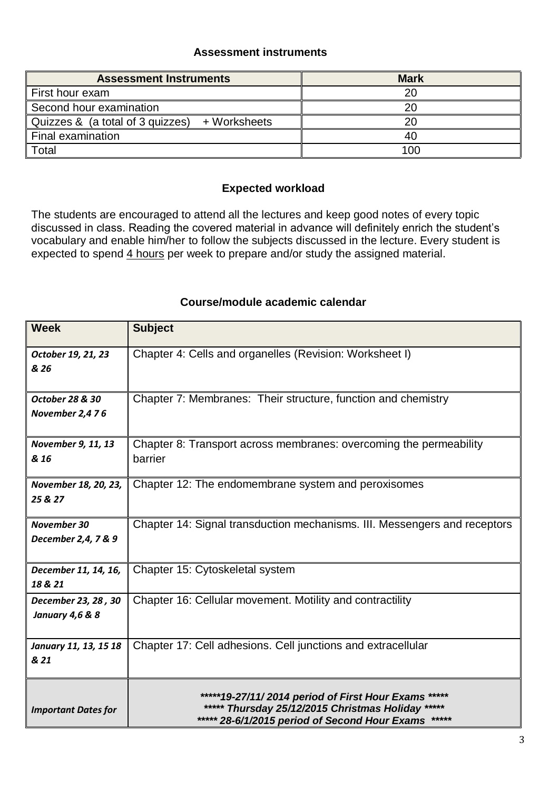#### **Assessment instruments**

| <b>Assessment Instruments</b>                    | <b>Mark</b> |
|--------------------------------------------------|-------------|
| First hour exam                                  | 20          |
| Second hour examination                          | 20          |
| Quizzes & (a total of 3 quizzes)<br>+ Worksheets | 20          |
| Final examination                                | 40          |
| Total                                            | 100         |

#### **Expected workload**

The students are encouraged to attend all the lectures and keep good notes of every topic discussed in class. Reading the covered material in advance will definitely enrich the student's vocabulary and enable him/her to follow the subjects discussed in the lecture. Every student is expected to spend 4 hours per week to prepare and/or study the assigned material.

#### **Course/module academic calendar**

| <b>Week</b>                | <b>Subject</b>                                                            |
|----------------------------|---------------------------------------------------------------------------|
| October 19, 21, 23         | Chapter 4: Cells and organelles (Revision: Worksheet I)                   |
| & 26                       |                                                                           |
| <b>October 28 &amp; 30</b> | Chapter 7: Membranes: Their structure, function and chemistry             |
| November 2,476             |                                                                           |
| November 9, 11, 13         | Chapter 8: Transport across membranes: overcoming the permeability        |
| & 16                       | barrier                                                                   |
| November 18, 20, 23,       | Chapter 12: The endomembrane system and peroxisomes                       |
| 25 & 27                    |                                                                           |
| <b>November 30</b>         | Chapter 14: Signal transduction mechanisms. III. Messengers and receptors |
| December 2,4, 7 & 9        |                                                                           |
| December 11, 14, 16,       | Chapter 15: Cytoskeletal system                                           |
| 18 & 21                    |                                                                           |
| December 23, 28, 30        | Chapter 16: Cellular movement. Motility and contractility                 |
| <b>January 4,6 &amp; 8</b> |                                                                           |
| January 11, 13, 15 18      | Chapter 17: Cell adhesions. Cell junctions and extracellular              |
| & 21                       |                                                                           |
|                            | *****19-27/11/2014 period of First Hour Exams                             |
| <b>Important Dates for</b> | ***** Thursday 25/12/2015 Christmas Holiday<br>*****                      |
|                            | ***** 28-6/1/2015 period of Second Hour Exams                             |